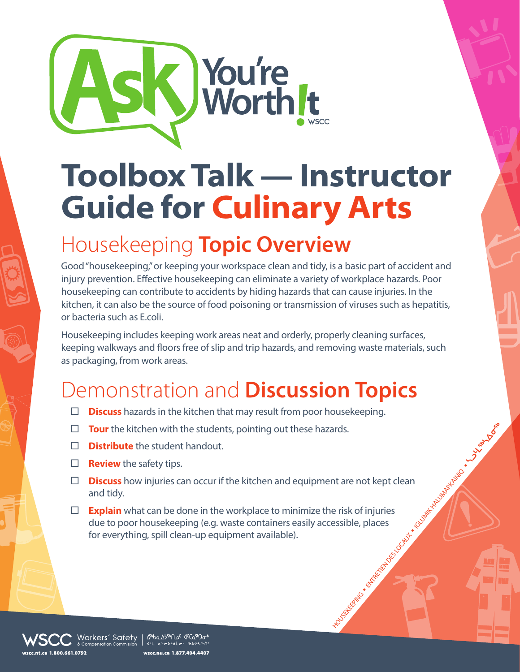

## **Toolbox Talk — Instructor Guide for Culinary Arts**

## Housekeeping **Topic Overview**

Good "housekeeping," or keeping your workspace clean and tidy, is a basic part of accident and injury prevention. Effective housekeeping can eliminate a variety of workplace hazards. Poor housekeeping can contribute to accidents by hiding hazards that can cause injuries. In the kitchen, it can also be the source of food poisoning or transmission of viruses such as hepatitis, or bacteria such as E.coli.

Housekeeping includes keeping work areas neat and orderly, properly cleaning surfaces, keeping walkways and floors free of slip and trip hazards, and removing waste materials, such as packaging, from work areas.

## Demonstration and **Discussion Topics**

- **Discuss** hazards in the kitchen that may result from poor housekeeping.
- □ **Tour** the kitchen with the students, pointing out these hazards.
- **Distribute** the student handout.
- $\Box$  **Review** the safety tips.
- **Discuss** how injuries can occur if the kitchen and equipment are not kept clean and tidy.
- HOUSE REGISTER N ENTRE DES LOCAUX N IGLUMIK HALUMARK HALUMARK HALUMARK HALUMARK HALUMARK HALUMARK HALUMARK HALUMARK HALUMARK HALUMARK HALUMARK HALUMARK HALUMARK HALUMARK HALUMARK HALUMARK HALUMARK HALUMARK HALUMARK HALUMAR **Explain** what can be done in the workplace to minimize the risk of injuries due to poor housekeeping (e.g. waste containers easily accessible, places for everything, spill clean-up equipment available).

Morkers′ Safety | ∆‱∆په∩ه د دهنه  $4H = 65$  ib<sup>3</sup>d i<sup>2</sup>o i<sup>1</sup>b wscc.nu.ca 1.877.404.4407